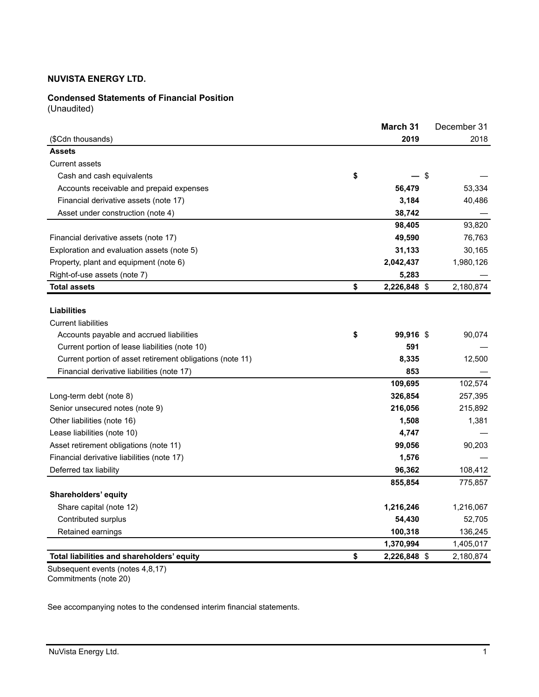## **Condensed Statements of Financial Position**

(Unaudited)

|                                                           | March 31           | December 31 |
|-----------------------------------------------------------|--------------------|-------------|
| (\$Cdn thousands)                                         | 2019               | 2018        |
| <b>Assets</b>                                             |                    |             |
| Current assets                                            |                    |             |
| Cash and cash equivalents                                 | \$                 | \$          |
| Accounts receivable and prepaid expenses                  | 56,479             | 53,334      |
| Financial derivative assets (note 17)                     | 3,184              | 40,486      |
| Asset under construction (note 4)                         | 38,742             |             |
|                                                           | 98,405             | 93,820      |
| Financial derivative assets (note 17)                     | 49,590             | 76,763      |
| Exploration and evaluation assets (note 5)                | 31,133             | 30,165      |
| Property, plant and equipment (note 6)                    | 2,042,437          | 1,980,126   |
| Right-of-use assets (note 7)                              | 5,283              |             |
| Total assets                                              | \$<br>2,226,848 \$ | 2,180,874   |
|                                                           |                    |             |
| <b>Liabilities</b>                                        |                    |             |
| <b>Current liabilities</b>                                |                    |             |
| Accounts payable and accrued liabilities                  | \$<br>99,916 \$    | 90,074      |
| Current portion of lease liabilities (note 10)            | 591                |             |
| Current portion of asset retirement obligations (note 11) | 8,335              | 12,500      |
| Financial derivative liabilities (note 17)                | 853                |             |
|                                                           | 109,695            | 102,574     |
| Long-term debt (note 8)                                   | 326,854            | 257,395     |
| Senior unsecured notes (note 9)                           | 216,056            | 215,892     |
| Other liabilities (note 16)                               | 1,508              | 1,381       |
| Lease liabilities (note 10)                               | 4,747              |             |
| Asset retirement obligations (note 11)                    | 99,056             | 90,203      |
| Financial derivative liabilities (note 17)                | 1,576              |             |
| Deferred tax liability                                    | 96,362             | 108,412     |
|                                                           | 855,854            | 775,857     |
| Shareholders' equity                                      |                    |             |
| Share capital (note 12)                                   | 1,216,246          | 1,216,067   |
| Contributed surplus                                       | 54,430             | 52,705      |
| Retained earnings                                         | 100,318            | 136,245     |
|                                                           | 1,370,994          | 1,405,017   |
| Total liabilities and shareholders' equity                | \$<br>2,226,848 \$ | 2,180,874   |

Subsequent events (notes 4,8,17) Commitments (note 20)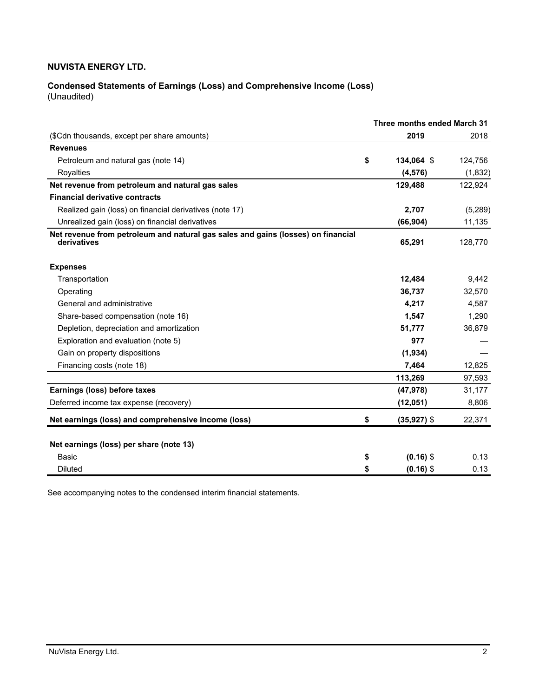# **Condensed Statements of Earnings (Loss) and Comprehensive Income (Loss)**

(Unaudited)

|                                                                                                 | Three months ended March 31 |          |
|-------------------------------------------------------------------------------------------------|-----------------------------|----------|
| (\$Cdn thousands, except per share amounts)                                                     | 2019                        | 2018     |
| <b>Revenues</b>                                                                                 |                             |          |
| Petroleum and natural gas (note 14)                                                             | \$<br>134,064 \$            | 124,756  |
| Royalties                                                                                       | (4, 576)                    | (1, 832) |
| Net revenue from petroleum and natural gas sales                                                | 129,488                     | 122,924  |
| <b>Financial derivative contracts</b>                                                           |                             |          |
| Realized gain (loss) on financial derivatives (note 17)                                         | 2,707                       | (5,289)  |
| Unrealized gain (loss) on financial derivatives                                                 | (66, 904)                   | 11,135   |
| Net revenue from petroleum and natural gas sales and gains (losses) on financial<br>derivatives | 65,291                      | 128,770  |
| <b>Expenses</b>                                                                                 |                             |          |
| Transportation                                                                                  | 12,484                      | 9,442    |
| Operating                                                                                       | 36,737                      | 32,570   |
| General and administrative                                                                      | 4,217                       | 4,587    |
| Share-based compensation (note 16)                                                              | 1,547                       | 1,290    |
| Depletion, depreciation and amortization                                                        | 51,777                      | 36,879   |
| Exploration and evaluation (note 5)                                                             | 977                         |          |
| Gain on property dispositions                                                                   | (1,934)                     |          |
| Financing costs (note 18)                                                                       | 7,464                       | 12,825   |
|                                                                                                 | 113,269                     | 97,593   |
| Earnings (loss) before taxes                                                                    | (47, 978)                   | 31,177   |
| Deferred income tax expense (recovery)                                                          | (12,051)                    | 8,806    |
| Net earnings (loss) and comprehensive income (loss)                                             | \$<br>$(35, 927)$ \$        | 22,371   |
| Net earnings (loss) per share (note 13)                                                         |                             |          |
| <b>Basic</b>                                                                                    | \$<br>$(0.16)$ \$           | 0.13     |
| <b>Diluted</b>                                                                                  | \$<br>$(0.16)$ \$           | 0.13     |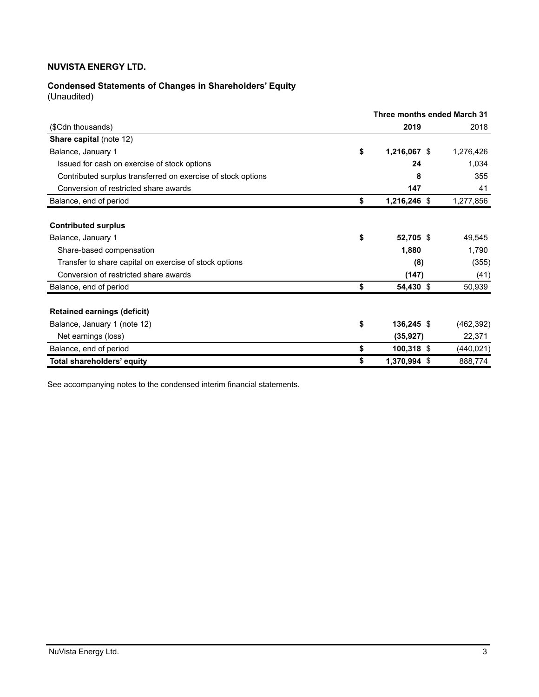# **Condensed Statements of Changes in Shareholders' Equity**

(Unaudited)

|                                                              |    | Three months ended March 31 |            |
|--------------------------------------------------------------|----|-----------------------------|------------|
| (\$Cdn thousands)                                            |    | 2019                        | 2018       |
| <b>Share capital (note 12)</b>                               |    |                             |            |
| Balance, January 1                                           | \$ | 1,216,067 \$                | 1,276,426  |
| Issued for cash on exercise of stock options                 |    | 24                          | 1,034      |
| Contributed surplus transferred on exercise of stock options |    | 8                           | 355        |
| Conversion of restricted share awards                        |    | 147                         | 41         |
| Balance, end of period                                       | \$ | 1,216,246 \$                | 1,277,856  |
|                                                              |    |                             |            |
| <b>Contributed surplus</b>                                   |    |                             |            |
| Balance, January 1                                           | \$ | 52,705 \$                   | 49,545     |
| Share-based compensation                                     |    | 1,880                       | 1,790      |
| Transfer to share capital on exercise of stock options       |    | (8)                         | (355)      |
| Conversion of restricted share awards                        |    | (147)                       | (41)       |
| Balance, end of period                                       | \$ | 54,430 \$                   | 50,939     |
|                                                              |    |                             |            |
| <b>Retained earnings (deficit)</b>                           |    |                             |            |
| Balance, January 1 (note 12)                                 | \$ | $136,245$ \$                | (462, 392) |
| Net earnings (loss)                                          |    | (35, 927)                   | 22,371     |
| Balance, end of period                                       | \$ | $100,318$ \$                | (440,021)  |
| Total shareholders' equity                                   | S  | 1,370,994 \$                | 888,774    |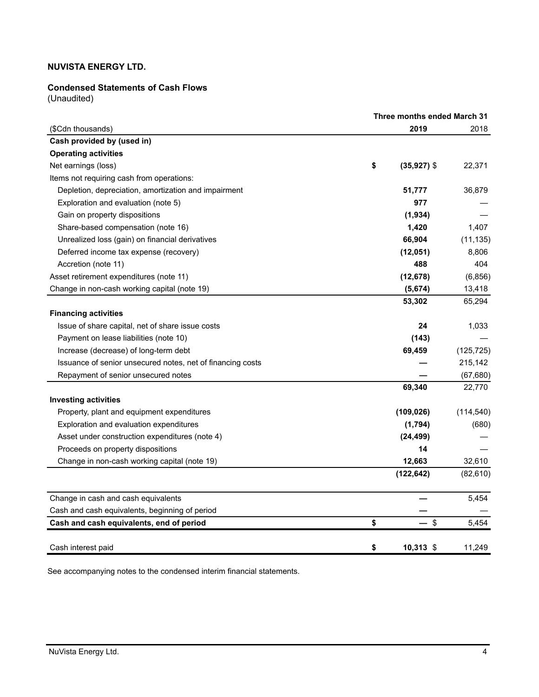## **Condensed Statements of Cash Flows**

(Unaudited)

|                                                            |    | Three months ended March 31 |            |  |  |
|------------------------------------------------------------|----|-----------------------------|------------|--|--|
| (\$Cdn thousands)                                          |    | 2019                        | 2018       |  |  |
| Cash provided by (used in)                                 |    |                             |            |  |  |
| <b>Operating activities</b>                                |    |                             |            |  |  |
| Net earnings (loss)                                        | \$ | $(35,927)$ \$               | 22,371     |  |  |
| Items not requiring cash from operations:                  |    |                             |            |  |  |
| Depletion, depreciation, amortization and impairment       |    | 51,777                      | 36,879     |  |  |
| Exploration and evaluation (note 5)                        |    | 977                         |            |  |  |
| Gain on property dispositions                              |    | (1,934)                     |            |  |  |
| Share-based compensation (note 16)                         |    | 1,420                       | 1,407      |  |  |
| Unrealized loss (gain) on financial derivatives            |    | 66,904                      | (11, 135)  |  |  |
| Deferred income tax expense (recovery)                     |    | (12, 051)                   | 8,806      |  |  |
| Accretion (note 11)                                        |    | 488                         | 404        |  |  |
| Asset retirement expenditures (note 11)                    |    | (12, 678)                   | (6, 856)   |  |  |
| Change in non-cash working capital (note 19)               |    | (5,674)                     | 13,418     |  |  |
|                                                            |    | 53,302                      | 65,294     |  |  |
| <b>Financing activities</b>                                |    |                             |            |  |  |
| Issue of share capital, net of share issue costs           |    | 24                          | 1,033      |  |  |
| Payment on lease liabilities (note 10)                     |    | (143)                       |            |  |  |
| Increase (decrease) of long-term debt                      |    | 69,459                      | (125, 725) |  |  |
| Issuance of senior unsecured notes, net of financing costs |    |                             | 215,142    |  |  |
| Repayment of senior unsecured notes                        |    |                             | (67, 680)  |  |  |
|                                                            |    | 69,340                      | 22,770     |  |  |
| <b>Investing activities</b>                                |    |                             |            |  |  |
| Property, plant and equipment expenditures                 |    | (109, 026)                  | (114, 540) |  |  |
| Exploration and evaluation expenditures                    |    | (1,794)                     | (680)      |  |  |
| Asset under construction expenditures (note 4)             |    | (24, 499)                   |            |  |  |
| Proceeds on property dispositions                          |    | 14                          |            |  |  |
| Change in non-cash working capital (note 19)               |    | 12,663                      | 32,610     |  |  |
|                                                            |    | (122, 642)                  | (82, 610)  |  |  |
| Change in cash and cash equivalents                        |    |                             | 5,454      |  |  |
| Cash and cash equivalents, beginning of period             |    |                             |            |  |  |
| Cash and cash equivalents, end of period                   | \$ | $\boldsymbol{\mathsf{S}}$   | 5,454      |  |  |
| Cash interest paid                                         | \$ | $10,313$ \$                 | 11,249     |  |  |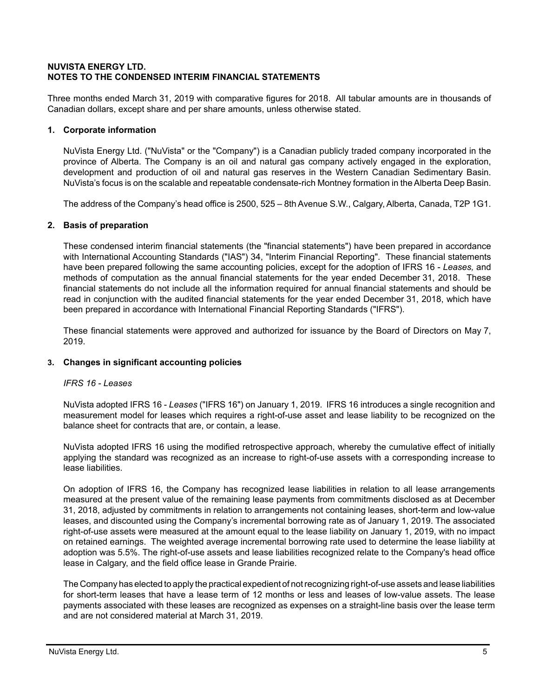## **NUVISTA ENERGY LTD. NOTES TO THE CONDENSED INTERIM FINANCIAL STATEMENTS**

Three months ended March 31, 2019 with comparative figures for 2018. All tabular amounts are in thousands of Canadian dollars, except share and per share amounts, unless otherwise stated.

## **1. Corporate information**

NuVista Energy Ltd. ("NuVista" or the "Company") is a Canadian publicly traded company incorporated in the province of Alberta. The Company is an oil and natural gas company actively engaged in the exploration, development and production of oil and natural gas reserves in the Western Canadian Sedimentary Basin. NuVista's focus is on the scalable and repeatable condensate-rich Montney formation in the Alberta Deep Basin.

The address of the Company's head office is 2500, 525 – 8th Avenue S.W., Calgary, Alberta, Canada, T2P 1G1.

## **2. Basis of preparation**

These condensed interim financial statements (the "financial statements") have been prepared in accordance with International Accounting Standards ("IAS") 34, "Interim Financial Reporting". These financial statements have been prepared following the same accounting policies, except for the adoption of IFRS 16 - *Leases,* and methods of computation as the annual financial statements for the year ended December 31, 2018. These financial statements do not include all the information required for annual financial statements and should be read in conjunction with the audited financial statements for the year ended December 31, 2018, which have been prepared in accordance with International Financial Reporting Standards ("IFRS").

These financial statements were approved and authorized for issuance by the Board of Directors on May 7, 2019.

## **3. Changes in significant accounting policies**

## *IFRS 16 - Leases*

NuVista adopted IFRS 16 - *Leases* ("IFRS 16") on January 1, 2019. IFRS 16 introduces a single recognition and measurement model for leases which requires a right-of-use asset and lease liability to be recognized on the balance sheet for contracts that are, or contain, a lease.

NuVista adopted IFRS 16 using the modified retrospective approach, whereby the cumulative effect of initially applying the standard was recognized as an increase to right-of-use assets with a corresponding increase to lease liabilities.

On adoption of IFRS 16, the Company has recognized lease liabilities in relation to all lease arrangements measured at the present value of the remaining lease payments from commitments disclosed as at December 31, 2018, adjusted by commitments in relation to arrangements not containing leases, short-term and low-value leases, and discounted using the Company's incremental borrowing rate as of January 1, 2019. The associated right-of-use assets were measured at the amount equal to the lease liability on January 1, 2019, with no impact on retained earnings. The weighted average incremental borrowing rate used to determine the lease liability at adoption was 5.5%. The right-of-use assets and lease liabilities recognized relate to the Company's head office lease in Calgary, and the field office lease in Grande Prairie.

The Company has elected to apply the practical expedient of not recognizing right-of-use assets and lease liabilities for short-term leases that have a lease term of 12 months or less and leases of low-value assets. The lease payments associated with these leases are recognized as expenses on a straight-line basis over the lease term and are not considered material at March 31, 2019.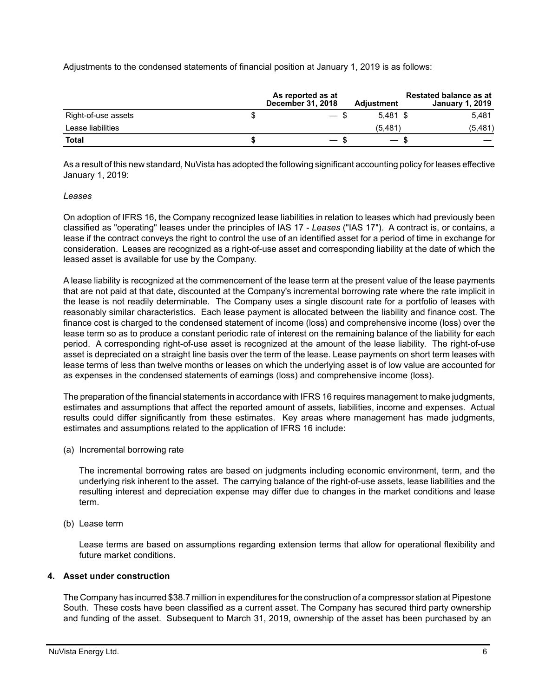Adjustments to the condensed statements of financial position at January 1, 2019 is as follows:

|                     | As reported as at<br><b>December 31, 2018</b> | <b>Adjustment</b>        | <b>Restated balance as at</b><br><b>January 1, 2019</b> |
|---------------------|-----------------------------------------------|--------------------------|---------------------------------------------------------|
| Right-of-use assets | $\hspace{0.05cm}$                             | $5.481$ \$               | 5.481                                                   |
| Lease liabilities   |                                               | (5, 481)                 | (5, 481)                                                |
| <b>Total</b>        | $\overline{\phantom{0}}$                      | $\overline{\phantom{0}}$ |                                                         |

As a result of this new standard, NuVista has adopted the following significant accounting policy for leases effective January 1, 2019:

#### *Leases*

On adoption of IFRS 16, the Company recognized lease liabilities in relation to leases which had previously been classified as "operating" leases under the principles of IAS 17 - *Leases* ("IAS 17"). A contract is, or contains, a lease if the contract conveys the right to control the use of an identified asset for a period of time in exchange for consideration. Leases are recognized as a right-of-use asset and corresponding liability at the date of which the leased asset is available for use by the Company.

A lease liability is recognized at the commencement of the lease term at the present value of the lease payments that are not paid at that date, discounted at the Company's incremental borrowing rate where the rate implicit in the lease is not readily determinable. The Company uses a single discount rate for a portfolio of leases with reasonably similar characteristics. Each lease payment is allocated between the liability and finance cost. The finance cost is charged to the condensed statement of income (loss) and comprehensive income (loss) over the lease term so as to produce a constant periodic rate of interest on the remaining balance of the liability for each period. A corresponding right-of-use asset is recognized at the amount of the lease liability. The right-of-use asset is depreciated on a straight line basis over the term of the lease. Lease payments on short term leases with lease terms of less than twelve months or leases on which the underlying asset is of low value are accounted for as expenses in the condensed statements of earnings (loss) and comprehensive income (loss).

The preparation of the financial statements in accordance with IFRS 16 requires management to make judgments, estimates and assumptions that affect the reported amount of assets, liabilities, income and expenses. Actual results could differ significantly from these estimates. Key areas where management has made judgments, estimates and assumptions related to the application of IFRS 16 include:

(a) Incremental borrowing rate

The incremental borrowing rates are based on judgments including economic environment, term, and the underlying risk inherent to the asset. The carrying balance of the right-of-use assets, lease liabilities and the resulting interest and depreciation expense may differ due to changes in the market conditions and lease term.

(b) Lease term

Lease terms are based on assumptions regarding extension terms that allow for operational flexibility and future market conditions.

## **4. Asset under construction**

The Company has incurred \$38.7 million in expenditures for the construction of a compressor station at Pipestone South. These costs have been classified as a current asset. The Company has secured third party ownership and funding of the asset. Subsequent to March 31, 2019, ownership of the asset has been purchased by an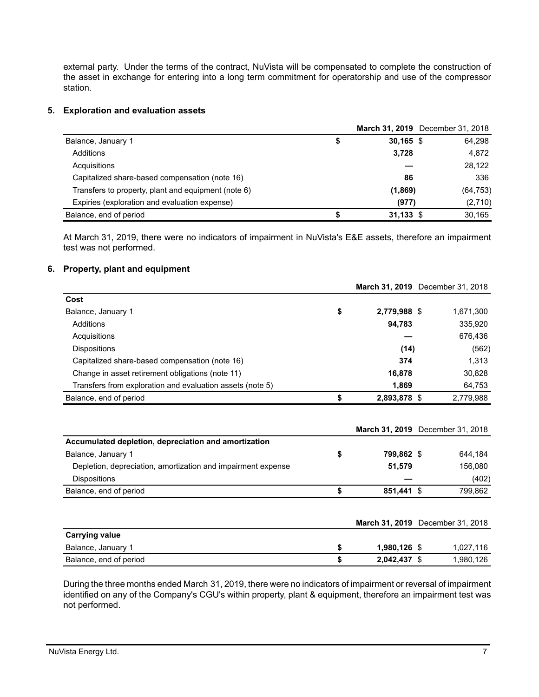external party. Under the terms of the contract, NuVista will be compensated to complete the construction of the asset in exchange for entering into a long term commitment for operatorship and use of the compressor station.

## **5. Exploration and evaluation assets**

|                                                     |   |             | March 31, 2019 December 31, 2018 |
|-----------------------------------------------------|---|-------------|----------------------------------|
| Balance, January 1                                  | S | $30,165$ \$ | 64,298                           |
| Additions                                           |   | 3,728       | 4,872                            |
| Acquisitions                                        |   |             | 28,122                           |
| Capitalized share-based compensation (note 16)      |   | 86          | 336                              |
| Transfers to property, plant and equipment (note 6) |   | (1,869)     | (64, 753)                        |
| Expiries (exploration and evaluation expense)       |   | (977)       | (2,710)                          |
| Balance, end of period                              |   | $31,133$ \$ | 30.165                           |

At March 31, 2019, there were no indicators of impairment in NuVista's E&E assets, therefore an impairment test was not performed.

#### **6. Property, plant and equipment**

|                                                              |                    | March 31, 2019 December 31, 2018 |
|--------------------------------------------------------------|--------------------|----------------------------------|
| Cost                                                         |                    |                                  |
| Balance, January 1                                           | \$<br>2,779,988 \$ | 1,671,300                        |
| Additions                                                    | 94,783             | 335,920                          |
| Acquisitions                                                 |                    | 676,436                          |
| Dispositions                                                 | (14)               | (562)                            |
| Capitalized share-based compensation (note 16)               | 374                | 1,313                            |
| Change in asset retirement obligations (note 11)             | 16,878             | 30,828                           |
| Transfers from exploration and evaluation assets (note 5)    | 1,869              | 64,753                           |
| Balance, end of period                                       | \$<br>2,893,878 \$ | 2,779,988                        |
|                                                              |                    | March 31, 2019 December 31, 2018 |
| Accumulated depletion, depreciation and amortization         |                    |                                  |
| Balance, January 1                                           | \$<br>799.862 \$   | 644,184                          |
| Depletion, depreciation, amortization and impairment expense | 51,579             | 156,080                          |

|                        |              | March 31, 2019 December 31, 2018 |
|------------------------|--------------|----------------------------------|
| <b>Carrying value</b>  |              |                                  |
| Balance, January 1     | 1,980,126 \$ | 1,027,116                        |
| Balance, end of period | 2,042,437 \$ | 1,980,126                        |

Dispositions **—** (402) Balance, end of period **\$ 851,441** \$ 799,862

During the three months ended March 31, 2019, there were no indicators of impairment or reversal of impairment identified on any of the Company's CGU's within property, plant & equipment, therefore an impairment test was not performed.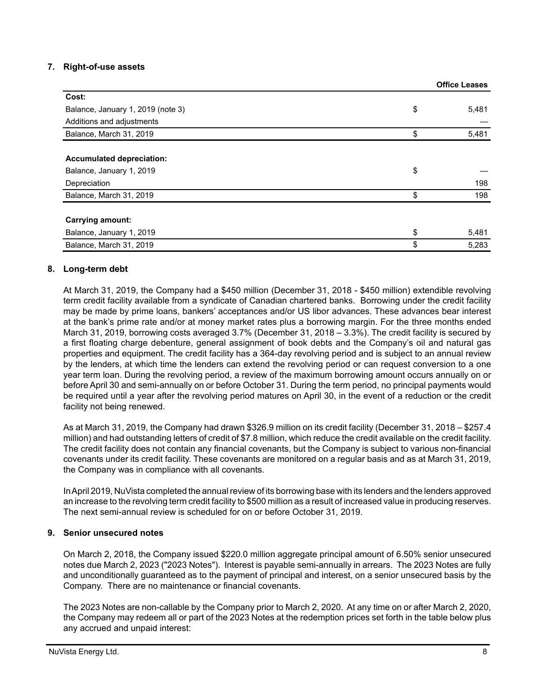## **7. Right-of-use assets**

| Cost:                             |             |
|-----------------------------------|-------------|
| Balance, January 1, 2019 (note 3) | \$<br>5,481 |
| Additions and adjustments         |             |
| Balance, March 31, 2019           | \$<br>5,481 |
|                                   |             |
| <b>Accumulated depreciation:</b>  |             |
| Balance, January 1, 2019          | \$          |
| Depreciation                      | 198         |
| Balance, March 31, 2019           | \$<br>198   |
|                                   |             |
| <b>Carrying amount:</b>           |             |
| Balance, January 1, 2019          | \$<br>5,481 |
| Balance, March 31, 2019           | \$<br>5,283 |

## **8. Long-term debt**

At March 31, 2019, the Company had a \$450 million (December 31, 2018 - \$450 million) extendible revolving term credit facility available from a syndicate of Canadian chartered banks. Borrowing under the credit facility may be made by prime loans, bankers' acceptances and/or US libor advances. These advances bear interest at the bank's prime rate and/or at money market rates plus a borrowing margin. For the three months ended March 31, 2019, borrowing costs averaged 3.7% (December 31, 2018 – 3.3%). The credit facility is secured by a first floating charge debenture, general assignment of book debts and the Company's oil and natural gas properties and equipment. The credit facility has a 364-day revolving period and is subject to an annual review by the lenders, at which time the lenders can extend the revolving period or can request conversion to a one year term loan. During the revolving period, a review of the maximum borrowing amount occurs annually on or before April 30 and semi-annually on or before October 31. During the term period, no principal payments would be required until a year after the revolving period matures on April 30, in the event of a reduction or the credit facility not being renewed.

As at March 31, 2019, the Company had drawn \$326.9 million on its credit facility (December 31, 2018 – \$257.4 million) and had outstanding letters of credit of \$7.8 million, which reduce the credit available on the credit facility. The credit facility does not contain any financial covenants, but the Company is subject to various non-financial covenants under its credit facility. These covenants are monitored on a regular basis and as at March 31, 2019, the Company was in compliance with all covenants.

In April 2019, NuVista completed the annual review of its borrowing base with its lenders and the lenders approved an increase to the revolving term credit facility to \$500 million as a result of increased value in producing reserves. The next semi-annual review is scheduled for on or before October 31, 2019.

## **9. Senior unsecured notes**

On March 2, 2018, the Company issued \$220.0 million aggregate principal amount of 6.50% senior unsecured notes due March 2, 2023 ("2023 Notes"). Interest is payable semi-annually in arrears. The 2023 Notes are fully and unconditionally guaranteed as to the payment of principal and interest, on a senior unsecured basis by the Company. There are no maintenance or financial covenants.

The 2023 Notes are non-callable by the Company prior to March 2, 2020. At any time on or after March 2, 2020, the Company may redeem all or part of the 2023 Notes at the redemption prices set forth in the table below plus any accrued and unpaid interest:

**Office Leases**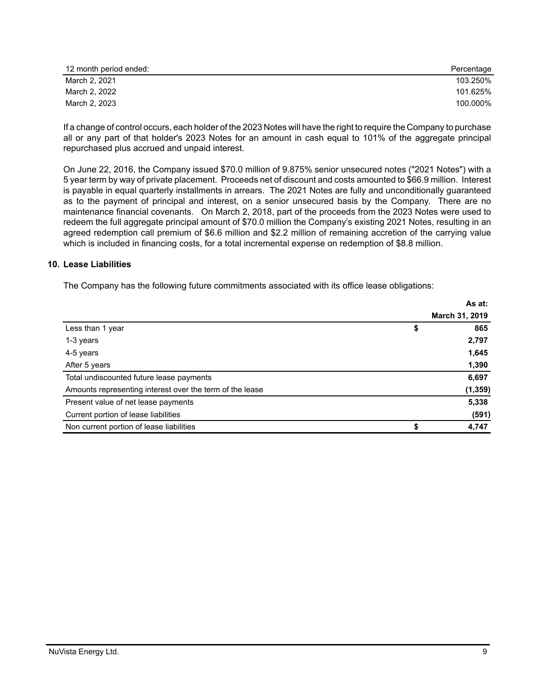| 12 month period ended: | Percentage |
|------------------------|------------|
| March 2, 2021          | 103.250%   |
| March 2, 2022          | 101.625%   |
| March 2, 2023          | 100.000%   |

If a change of control occurs, each holder of the 2023 Notes will have the right to require the Company to purchase all or any part of that holder's 2023 Notes for an amount in cash equal to 101% of the aggregate principal repurchased plus accrued and unpaid interest.

On June 22, 2016, the Company issued \$70.0 million of 9.875% senior unsecured notes ("2021 Notes") with a 5 year term by way of private placement. Proceeds net of discount and costs amounted to \$66.9 million. Interest is payable in equal quarterly installments in arrears. The 2021 Notes are fully and unconditionally guaranteed as to the payment of principal and interest, on a senior unsecured basis by the Company. There are no maintenance financial covenants. On March 2, 2018, part of the proceeds from the 2023 Notes were used to redeem the full aggregate principal amount of \$70.0 million the Company's existing 2021 Notes, resulting in an agreed redemption call premium of \$6.6 million and \$2.2 million of remaining accretion of the carrying value which is included in financing costs, for a total incremental expense on redemption of \$8.8 million.

## **10. Lease Liabilities**

The Company has the following future commitments associated with its office lease obligations:

|                                                          | As at:         |
|----------------------------------------------------------|----------------|
|                                                          | March 31, 2019 |
| Less than 1 year<br>\$                                   | 865            |
| 1-3 years                                                | 2,797          |
| 4-5 years                                                | 1,645          |
| After 5 years                                            | 1,390          |
| Total undiscounted future lease payments                 | 6,697          |
| Amounts representing interest over the term of the lease | (1, 359)       |
| Present value of net lease payments                      | 5,338          |
| Current portion of lease liabilities                     | (591)          |
| Non current portion of lease liabilities                 | 4,747          |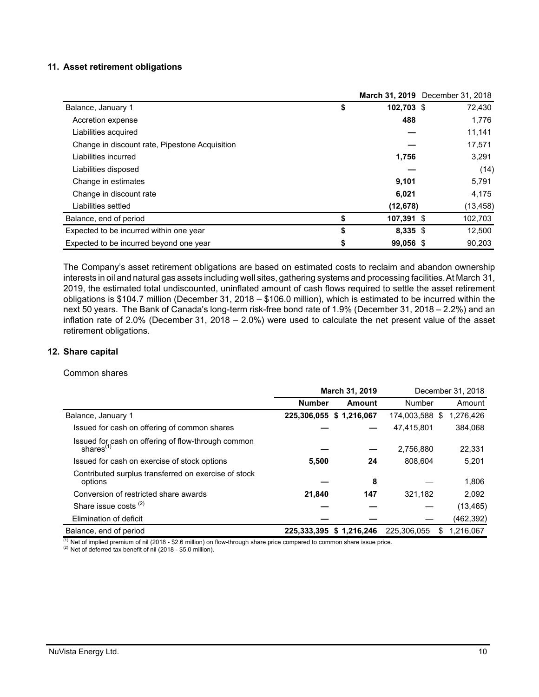#### **11. Asset retirement obligations**

|                                                |                  | March 31, 2019 December 31, 2018 |
|------------------------------------------------|------------------|----------------------------------|
| Balance, January 1                             | \$<br>102,703 \$ | 72,430                           |
| Accretion expense                              | 488              | 1,776                            |
| Liabilities acquired                           |                  | 11,141                           |
| Change in discount rate, Pipestone Acquisition |                  | 17,571                           |
| Liabilities incurred                           | 1,756            | 3,291                            |
| Liabilities disposed                           |                  | (14)                             |
| Change in estimates                            | 9,101            | 5,791                            |
| Change in discount rate                        | 6,021            | 4,175                            |
| Liabilities settled                            | (12, 678)        | (13,458)                         |
| Balance, end of period                         | \$<br>107,391 \$ | 102,703                          |
| Expected to be incurred within one year        | \$<br>$8,335$ \$ | 12,500                           |
| Expected to be incurred beyond one year        | \$<br>99,056 \$  | 90.203                           |

The Company's asset retirement obligations are based on estimated costs to reclaim and abandon ownership interests in oil and natural gas assets including well sites, gathering systems and processing facilities. At March 31, 2019, the estimated total undiscounted, uninflated amount of cash flows required to settle the asset retirement obligations is \$104.7 million (December 31, 2018 – \$106.0 million), which is estimated to be incurred within the next 50 years. The Bank of Canada's long-term risk-free bond rate of 1.9% (December 31, 2018 – 2.2%) and an inflation rate of 2.0% (December 31, 2018 – 2.0%) were used to calculate the net present value of the asset retirement obligations.

#### **12. Share capital**

#### Common shares

|                                                                    | March 31, 2019 |                          |                | December 31, 2018 |  |
|--------------------------------------------------------------------|----------------|--------------------------|----------------|-------------------|--|
|                                                                    | <b>Number</b>  | Amount                   | Number         | Amount            |  |
| Balance, January 1                                                 |                | 225,306,055 \$ 1,216,067 | 174,003,588 \$ | 1,276,426         |  |
| Issued for cash on offering of common shares                       |                |                          | 47,415,801     | 384.068           |  |
| Issued for cash on offering of flow-through common<br>shares $(1)$ |                |                          | 2,756,880      | 22,331            |  |
| Issued for cash on exercise of stock options                       | 5,500          | 24                       | 808.604        | 5,201             |  |
| Contributed surplus transferred on exercise of stock<br>options    |                | 8                        |                | 1,806             |  |
| Conversion of restricted share awards                              | 21,840         | 147                      | 321.182        | 2.092             |  |
| Share issue costs $(2)$                                            |                |                          |                | (13, 465)         |  |
| Elimination of deficit                                             |                |                          |                | (462, 392)        |  |
| Balance, end of period                                             | 225.333.395    | \$1,216,246              | 225.306.055    | 1,216,067<br>S    |  |

 $\frac{(1)}{(1)}$  Net of implied premium of nil (2018 - \$2.6 million) on flow-through share price compared to common share issue price.

(2) Net of deferred tax benefit of nil (2018 - \$5.0 million).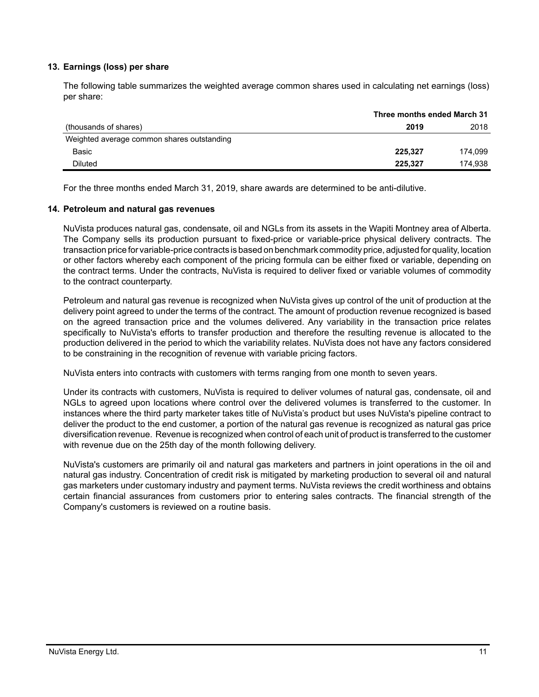## **13. Earnings (loss) per share**

The following table summarizes the weighted average common shares used in calculating net earnings (loss) per share:

|                                            | Three months ended March 31 |         |
|--------------------------------------------|-----------------------------|---------|
| (thousands of shares)                      | 2019                        | 2018    |
| Weighted average common shares outstanding |                             |         |
| Basic                                      | 225.327                     | 174.099 |
| <b>Diluted</b>                             | 225.327                     | 174.938 |
|                                            |                             |         |

For the three months ended March 31, 2019, share awards are determined to be anti-dilutive.

#### **14. Petroleum and natural gas revenues**

NuVista produces natural gas, condensate, oil and NGLs from its assets in the Wapiti Montney area of Alberta. The Company sells its production pursuant to fixed-price or variable-price physical delivery contracts. The transaction price for variable-price contracts is based on benchmark commodity price, adjusted for quality, location or other factors whereby each component of the pricing formula can be either fixed or variable, depending on the contract terms. Under the contracts, NuVista is required to deliver fixed or variable volumes of commodity to the contract counterparty.

Petroleum and natural gas revenue is recognized when NuVista gives up control of the unit of production at the delivery point agreed to under the terms of the contract. The amount of production revenue recognized is based on the agreed transaction price and the volumes delivered. Any variability in the transaction price relates specifically to NuVista's efforts to transfer production and therefore the resulting revenue is allocated to the production delivered in the period to which the variability relates. NuVista does not have any factors considered to be constraining in the recognition of revenue with variable pricing factors.

NuVista enters into contracts with customers with terms ranging from one month to seven years.

Under its contracts with customers, NuVista is required to deliver volumes of natural gas, condensate, oil and NGLs to agreed upon locations where control over the delivered volumes is transferred to the customer. In instances where the third party marketer takes title of NuVista's product but uses NuVista's pipeline contract to deliver the product to the end customer, a portion of the natural gas revenue is recognized as natural gas price diversification revenue. Revenue is recognized when control of each unit of product is transferred to the customer with revenue due on the 25th day of the month following delivery.

NuVista's customers are primarily oil and natural gas marketers and partners in joint operations in the oil and natural gas industry. Concentration of credit risk is mitigated by marketing production to several oil and natural gas marketers under customary industry and payment terms. NuVista reviews the credit worthiness and obtains certain financial assurances from customers prior to entering sales contracts. The financial strength of the Company's customers is reviewed on a routine basis.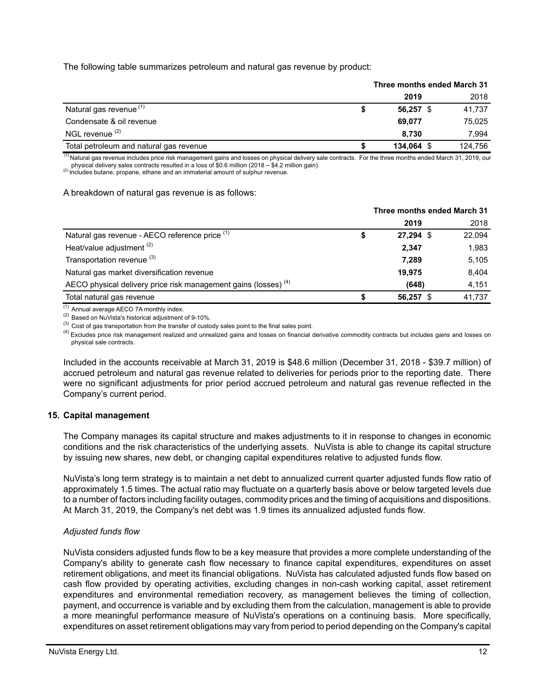The following table summarizes petroleum and natural gas revenue by product:

|                                         | Three months ended March 31 |             |  |         |
|-----------------------------------------|-----------------------------|-------------|--|---------|
|                                         |                             | 2019        |  | 2018    |
| Natural gas revenue <sup>(1)</sup>      |                             | $56,257$ \$ |  | 41,737  |
| Condensate & oil revenue                |                             | 69.077      |  | 75,025  |
| NGL revenue <sup>(2)</sup>              |                             | 8.730       |  | 7.994   |
| Total petroleum and natural gas revenue |                             | 134.064     |  | 124.756 |

(1) Natural gas revenue includes price risk management gains and losses on physical delivery sale contracts. For the three months ended March 31, 2019, our physical delivery sales contracts resulted in a loss of \$0.6 million (2018 – \$4.2 million gain).

 $(2)$  Includes butane, propane, ethane and an immaterial amount of sulphur revenue.

#### A breakdown of natural gas revenue is as follows:

|                                                                            | Three months ended March 31 |        |  |
|----------------------------------------------------------------------------|-----------------------------|--------|--|
|                                                                            | 2019                        | 2018   |  |
| Natural gas revenue - AECO reference price (1)                             | $27,294$ \$<br>\$           | 22,094 |  |
| Heat/value adjustment <sup>(2)</sup>                                       | 2,347                       | 1.983  |  |
| Transportation revenue (3)                                                 | 7,289                       | 5,105  |  |
| Natural gas market diversification revenue                                 | 19,975                      | 8.404  |  |
| AECO physical delivery price risk management gains (losses) <sup>(4)</sup> | (648)                       | 4,151  |  |
| Total natural gas revenue                                                  | 56,257 \$<br>S              | 41.737 |  |

 $(1)$  Annual average AECO 7A monthly index.

(2) Based on NuVista's historical adjustment of 9-10%.

 $^{(3)}$  Cost of gas transportation from the transfer of custody sales point to the final sales point.

<sup>(4)</sup> Excludes price risk management realized and unrealized gains and losses on financial derivative commodity contracts but includes gains and losses on physical sale contracts.

Included in the accounts receivable at March 31, 2019 is \$48.6 million (December 31, 2018 - \$39.7 million) of accrued petroleum and natural gas revenue related to deliveries for periods prior to the reporting date. There were no significant adjustments for prior period accrued petroleum and natural gas revenue reflected in the Company's current period.

#### **15. Capital management**

The Company manages its capital structure and makes adjustments to it in response to changes in economic conditions and the risk characteristics of the underlying assets. NuVista is able to change its capital structure by issuing new shares, new debt, or changing capital expenditures relative to adjusted funds flow.

NuVista's long term strategy is to maintain a net debt to annualized current quarter adjusted funds flow ratio of approximately 1.5 times. The actual ratio may fluctuate on a quarterly basis above or below targeted levels due to a number of factors including facility outages, commodity prices and the timing of acquisitions and dispositions. At March 31, 2019, the Company's net debt was 1.9 times its annualized adjusted funds flow.

## *Adjusted funds flow*

NuVista considers adjusted funds flow to be a key measure that provides a more complete understanding of the Company's ability to generate cash flow necessary to finance capital expenditures, expenditures on asset retirement obligations, and meet its financial obligations. NuVista has calculated adjusted funds flow based on cash flow provided by operating activities, excluding changes in non-cash working capital, asset retirement expenditures and environmental remediation recovery, as management believes the timing of collection, payment, and occurrence is variable and by excluding them from the calculation, management is able to provide a more meaningful performance measure of NuVista's operations on a continuing basis. More specifically, expenditures on asset retirement obligations may vary from period to period depending on the Company's capital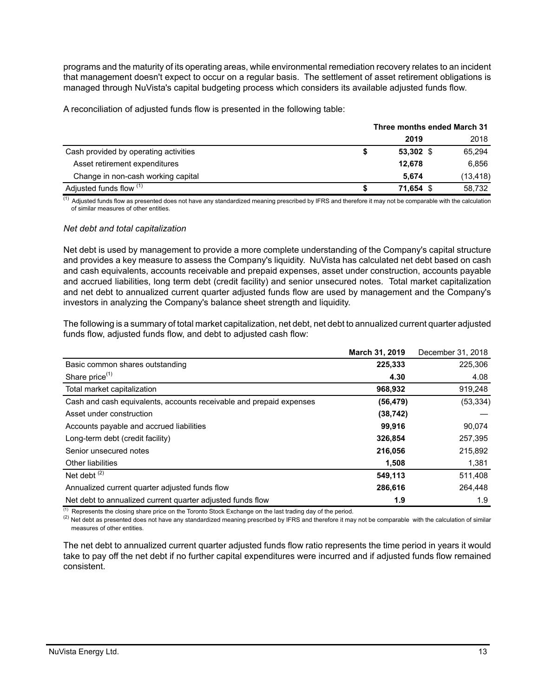programs and the maturity of its operating areas, while environmental remediation recovery relates to an incident that management doesn't expect to occur on a regular basis. The settlement of asset retirement obligations is managed through NuVista's capital budgeting process which considers its available adjusted funds flow.

A reconciliation of adjusted funds flow is presented in the following table:

|                                       | Three months ended March 31 |             |           |
|---------------------------------------|-----------------------------|-------------|-----------|
|                                       |                             | 2019        | 2018      |
| Cash provided by operating activities |                             | $53,302$ \$ | 65,294    |
| Asset retirement expenditures         |                             | 12.678      | 6.856     |
| Change in non-cash working capital    |                             | 5.674       | (13, 418) |
| Adjusted funds flow (1)               |                             | 71.654 \$   | 58.732    |

 $\frac{(1)}{(1)}$  Adjusted funds flow as presented does not have any standardized meaning prescribed by IFRS and therefore it may not be comparable with the calculation of similar measures of other entities.

#### *Net debt and total capitalization*

Net debt is used by management to provide a more complete understanding of the Company's capital structure and provides a key measure to assess the Company's liquidity. NuVista has calculated net debt based on cash and cash equivalents, accounts receivable and prepaid expenses, asset under construction, accounts payable and accrued liabilities, long term debt (credit facility) and senior unsecured notes. Total market capitalization and net debt to annualized current quarter adjusted funds flow are used by management and the Company's investors in analyzing the Company's balance sheet strength and liquidity.

The following is a summary of total market capitalization, net debt, net debt to annualized current quarter adjusted funds flow, adjusted funds flow, and debt to adjusted cash flow:

|                                                                     | March 31, 2019 | December 31, 2018 |
|---------------------------------------------------------------------|----------------|-------------------|
| Basic common shares outstanding                                     | 225,333        | 225,306           |
| Share price $(1)$                                                   | 4.30           | 4.08              |
| Total market capitalization                                         | 968,932        | 919,248           |
| Cash and cash equivalents, accounts receivable and prepaid expenses | (56, 479)      | (53, 334)         |
| Asset under construction                                            | (38, 742)      |                   |
| Accounts payable and accrued liabilities                            | 99.916         | 90.074            |
| Long-term debt (credit facility)                                    | 326,854        | 257,395           |
| Senior unsecured notes                                              | 216,056        | 215,892           |
| <b>Other liabilities</b>                                            | 1,508          | 1,381             |
| Net debt $(2)$                                                      | 549,113        | 511,408           |
| Annualized current quarter adjusted funds flow                      | 286,616        | 264,448           |
| Net debt to annualized current quarter adjusted funds flow          | 1.9            | 1.9               |

 $<sup>(1)</sup>$  Represents the closing share price on the Toronto Stock Exchange on the last trading day of the period.</sup>

 $^{(2)}$  Net debt as presented does not have any standardized meaning prescribed by IFRS and therefore it may not be comparable with the calculation of similar measures of other entities.

The net debt to annualized current quarter adjusted funds flow ratio represents the time period in years it would take to pay off the net debt if no further capital expenditures were incurred and if adjusted funds flow remained consistent.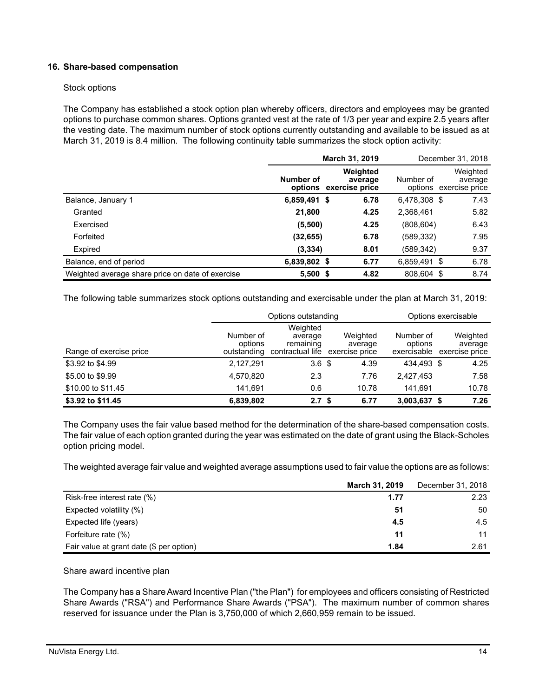## **16. Share-based compensation**

#### Stock options

The Company has established a stock option plan whereby officers, directors and employees may be granted options to purchase common shares. Options granted vest at the rate of 1/3 per year and expire 2.5 years after the vesting date. The maximum number of stock options currently outstanding and available to be issued as at March 31, 2019 is 8.4 million. The following continuity table summarizes the stock option activity:

|                                                  | March 31, 2019 |                                               |              | December 31, 2018                             |
|--------------------------------------------------|----------------|-----------------------------------------------|--------------|-----------------------------------------------|
|                                                  | Number of      | Weighted<br>average<br>options exercise price | Number of    | Weighted<br>average<br>options exercise price |
| Balance, January 1                               | 6,859,491 \$   | 6.78                                          | 6,478,308 \$ | 7.43                                          |
| Granted                                          | 21,800         | 4.25                                          | 2,368,461    | 5.82                                          |
| Exercised                                        | (5,500)        | 4.25                                          | (808, 604)   | 6.43                                          |
| Forfeited                                        | (32, 655)      | 6.78                                          | (589,332)    | 7.95                                          |
| Expired                                          | (3, 334)       | 8.01                                          | (589,342)    | 9.37                                          |
| Balance, end of period                           | 6,839,802 \$   | 6.77                                          | 6,859,491 \$ | 6.78                                          |
| Weighted average share price on date of exercise | $5,500$ \$     | 4.82                                          | 808.604 \$   | 8.74                                          |

The following table summarizes stock options outstanding and exercisable under the plan at March 31, 2019:

|                         |                                     | Options outstanding                                  |                                       |                                     | Options exercisable                   |
|-------------------------|-------------------------------------|------------------------------------------------------|---------------------------------------|-------------------------------------|---------------------------------------|
| Range of exercise price | Number of<br>options<br>outstanding | Weighted<br>average<br>remaining<br>contractual life | Weighted<br>average<br>exercise price | Number of<br>options<br>exercisable | Weighted<br>average<br>exercise price |
| \$3.92 to \$4.99        | 2,127,291                           | 3.6 <sup>3</sup>                                     | 4.39                                  | 434.493 \$                          | 4.25                                  |
| \$5.00 to \$9.99        | 4,570,820                           | 2.3                                                  | 7.76                                  | 2.427.453                           | 7.58                                  |
| \$10.00 to \$11.45      | 141.691                             | 0.6                                                  | 10.78                                 | 141.691                             | 10.78                                 |
| \$3.92 to \$11.45       | 6,839,802                           | 2.7 <sup>5</sup>                                     | 6.77                                  | 3,003,637 \$                        | 7.26                                  |

The Company uses the fair value based method for the determination of the share-based compensation costs. The fair value of each option granted during the year was estimated on the date of grant using the Black-Scholes option pricing model.

The weighted average fair value and weighted average assumptions used to fair value the options are as follows:

|                                          | March 31, 2019 | December 31, 2018 |
|------------------------------------------|----------------|-------------------|
| Risk-free interest rate (%)              | 1.77           | 2.23              |
| Expected volatility (%)                  | 51             | 50                |
| Expected life (years)                    | 4.5            | 4.5               |
| Forfeiture rate (%)                      | 11             | 11                |
| Fair value at grant date (\$ per option) | 1.84           | 2.61              |

Share award incentive plan

The Company has a Share Award Incentive Plan ("the Plan") for employees and officers consisting of Restricted Share Awards ("RSA") and Performance Share Awards ("PSA"). The maximum number of common shares reserved for issuance under the Plan is 3,750,000 of which 2,660,959 remain to be issued.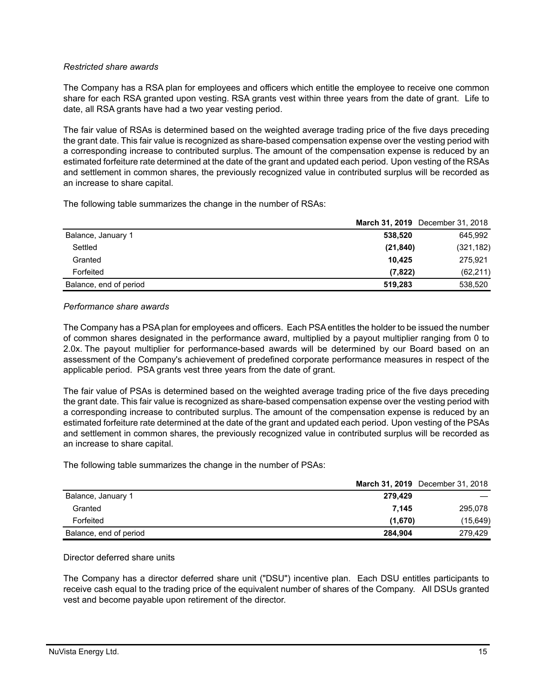## *Restricted share awards*

The Company has a RSA plan for employees and officers which entitle the employee to receive one common share for each RSA granted upon vesting. RSA grants vest within three years from the date of grant. Life to date, all RSA grants have had a two year vesting period.

The fair value of RSAs is determined based on the weighted average trading price of the five days preceding the grant date. This fair value is recognized as share-based compensation expense over the vesting period with a corresponding increase to contributed surplus. The amount of the compensation expense is reduced by an estimated forfeiture rate determined at the date of the grant and updated each period. Upon vesting of the RSAs and settlement in common shares, the previously recognized value in contributed surplus will be recorded as an increase to share capital.

The following table summarizes the change in the number of RSAs:

|                        | March 31, 2019 December 31, 2018 |
|------------------------|----------------------------------|
| Balance, January 1     | 645.992<br>538.520               |
| Settled                | (21, 840)<br>(321, 182)          |
| Granted                | 10.425<br>275.921                |
| Forfeited              | (7,822)<br>(62, 211)             |
| Balance, end of period | 538,520<br>519.283               |

#### *Performance share awards*

The Company has a PSA plan for employees and officers. Each PSA entitles the holder to be issued the number of common shares designated in the performance award, multiplied by a payout multiplier ranging from 0 to 2.0x. The payout multiplier for performance-based awards will be determined by our Board based on an assessment of the Company's achievement of predefined corporate performance measures in respect of the applicable period. PSA grants vest three years from the date of grant.

The fair value of PSAs is determined based on the weighted average trading price of the five days preceding the grant date. This fair value is recognized as share-based compensation expense over the vesting period with a corresponding increase to contributed surplus. The amount of the compensation expense is reduced by an estimated forfeiture rate determined at the date of the grant and updated each period. Upon vesting of the PSAs and settlement in common shares, the previously recognized value in contributed surplus will be recorded as an increase to share capital.

The following table summarizes the change in the number of PSAs:

|                        |         | <b>March 31, 2019</b> December 31, 2018 |
|------------------------|---------|-----------------------------------------|
| Balance, January 1     | 279.429 |                                         |
| Granted                | 7.145   | 295,078                                 |
| Forfeited              | (1,670) | (15,649)                                |
| Balance, end of period | 284.904 | 279.429                                 |

Director deferred share units

The Company has a director deferred share unit ("DSU") incentive plan. Each DSU entitles participants to receive cash equal to the trading price of the equivalent number of shares of the Company. All DSUs granted vest and become payable upon retirement of the director.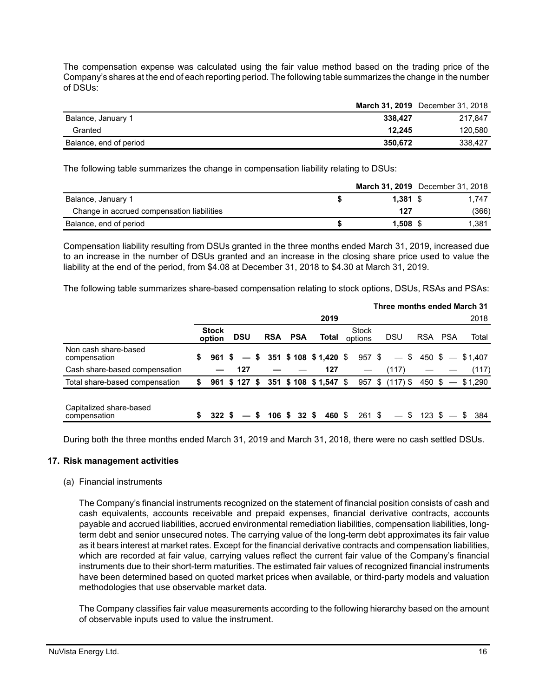The compensation expense was calculated using the fair value method based on the trading price of the Company's shares at the end of each reporting period. The following table summarizes the change in the number of DSUs:

|                        |         | <b>March 31, 2019</b> December 31, 2018 |
|------------------------|---------|-----------------------------------------|
| Balance, January 1     | 338.427 | 217.847                                 |
| Granted                | 12.245  | 120.580                                 |
| Balance, end of period | 350.672 | 338,427                                 |

The following table summarizes the change in compensation liability relating to DSUs:

|                                            |            | March 31, 2019 December 31, 2018 |       |
|--------------------------------------------|------------|----------------------------------|-------|
| Balance, January 1                         | $1.381$ \$ | 1.747                            |       |
| Change in accrued compensation liabilities | 127        |                                  | (366) |
| Balance, end of period                     | $1.508$ \$ | 1.381                            |       |

Compensation liability resulting from DSUs granted in the three months ended March 31, 2019, increased due to an increase in the number of DSUs granted and an increase in the closing share price used to value the liability at the end of the period, from \$4.08 at December 31, 2018 to \$4.30 at March 31, 2019.

The following table summarizes share-based compensation relating to stock options, DSUs, RSAs and PSAs:

|                                         |                        |            |    |                               |                 |        |                         |          | Three months ended March 31 |                               |       |
|-----------------------------------------|------------------------|------------|----|-------------------------------|-----------------|--------|-------------------------|----------|-----------------------------|-------------------------------|-------|
|                                         |                        |            |    |                               |                 | 2019   |                         |          |                             |                               | 2018  |
|                                         | <b>Stock</b><br>option | <b>DSU</b> |    | <b>RSA</b>                    | <b>PSA</b>      | Total  | <b>Stock</b><br>options |          | <b>DSU</b>                  | RSA PSA                       | Total |
| Non cash share-based<br>compensation    | \$<br>961 S            |            |    | $-$ \$ 351 \$ 108 \$ 1,420 \$ |                 |        |                         | 957\$    |                             | $-$ \$ 450 \$ $-$ \$1.407     |       |
| Cash share-based compensation           |                        | 127        |    |                               |                 | 127    |                         |          | (117)                       |                               | (117) |
| Total share-based compensation          | 961 \$127 \$           |            |    | 351 \$108 \$1,547 \$          |                 |        |                         |          | $957 \tS (117)$             | $450 \text{ }$ \$ $-$ \$1.290 |       |
| Capitalized share-based<br>compensation | 322S                   |            | S. | 106 \$                        | $32 \text{ } $$ | 460 \$ |                         | $261$ \$ |                             | $-$ \$ 123 \$ $-$ \$ 384      |       |

During both the three months ended March 31, 2019 and March 31, 2018, there were no cash settled DSUs.

#### **17. Risk management activities**

#### (a) Financial instruments

The Company's financial instruments recognized on the statement of financial position consists of cash and cash equivalents, accounts receivable and prepaid expenses, financial derivative contracts, accounts payable and accrued liabilities, accrued environmental remediation liabilities, compensation liabilities, longterm debt and senior unsecured notes. The carrying value of the long-term debt approximates its fair value as it bears interest at market rates. Except for the financial derivative contracts and compensation liabilities, which are recorded at fair value, carrying values reflect the current fair value of the Company's financial instruments due to their short-term maturities. The estimated fair values of recognized financial instruments have been determined based on quoted market prices when available, or third-party models and valuation methodologies that use observable market data.

The Company classifies fair value measurements according to the following hierarchy based on the amount of observable inputs used to value the instrument.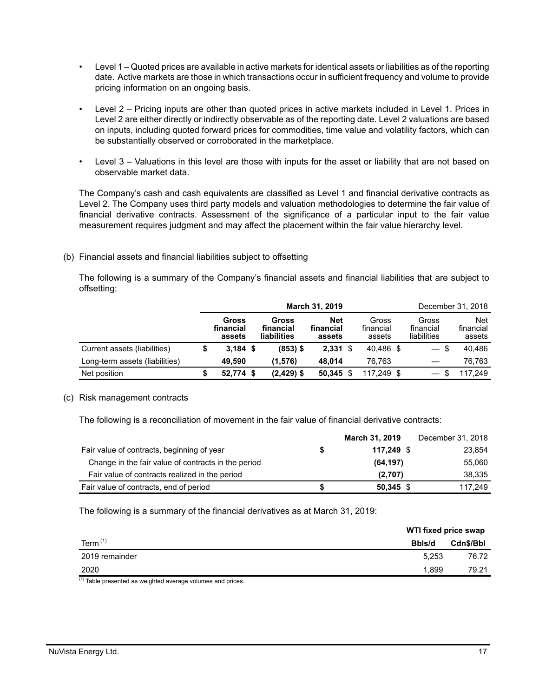- Level 1 Quoted prices are available in active markets for identical assets or liabilities as of the reporting date. Active markets are those in which transactions occur in sufficient frequency and volume to provide pricing information on an ongoing basis.
- Level 2 Pricing inputs are other than quoted prices in active markets included in Level 1. Prices in Level 2 are either directly or indirectly observable as of the reporting date. Level 2 valuations are based on inputs, including quoted forward prices for commodities, time value and volatility factors, which can be substantially observed or corroborated in the marketplace.
- Level 3 Valuations in this level are those with inputs for the asset or liability that are not based on observable market data.

The Company's cash and cash equivalents are classified as Level 1 and financial derivative contracts as Level 2. The Company uses third party models and valuation methodologies to determine the fair value of financial derivative contracts. Assessment of the significance of a particular input to the fair value measurement requires judgment and may affect the placement within the fair value hierarchy level.

(b) Financial assets and financial liabilities subject to offsetting

The following is a summary of the Company's financial assets and financial liabilities that are subject to offsetting:

|                                |                              |                                   | March 31, 2019                    |                              |                                   | December 31, 2018                 |
|--------------------------------|------------------------------|-----------------------------------|-----------------------------------|------------------------------|-----------------------------------|-----------------------------------|
|                                | Gross<br>financial<br>assets | Gross<br>financial<br>liabilities | <b>Net</b><br>financial<br>assets | Gross<br>financial<br>assets | Gross<br>financial<br>liabilities | <b>Net</b><br>financial<br>assets |
| Current assets (liabilities)   | $3.184$ \$                   | $(853)$ \$                        | $2,331$ \$                        | 40.486 \$                    | $-$ \$                            | 40,486                            |
| Long-term assets (liabilities) | 49.590                       | (1.576)                           | 48.014                            | 76.763                       |                                   | 76.763                            |
| Net position                   | 52,774 \$                    | $(2,429)$ \$                      | 50.345                            | 117.249 \$                   |                                   | 117.249                           |

#### (c) Risk management contracts

The following is a reconciliation of movement in the fair value of financial derivative contracts:

|                                                     |   | <b>March 31, 2019</b> | December 31, 2018 |
|-----------------------------------------------------|---|-----------------------|-------------------|
| Fair value of contracts, beginning of year          | 5 | 117.249 \$            | 23,854            |
| Change in the fair value of contracts in the period |   | (64, 197)             | 55,060            |
| Fair value of contracts realized in the period      |   | (2,707)               | 38.335            |
| Fair value of contracts, end of period              | S | $50.345$ \$           | 117.249           |

The following is a summary of the financial derivatives as at March 31, 2019:

|                                            |        | WTI fixed price swap |  |  |  |
|--------------------------------------------|--------|----------------------|--|--|--|
| Term $(1)$                                 | Bbls/d | Cdn\$/Bbl            |  |  |  |
| 2019 remainder                             | 5.253  | 76.72                |  |  |  |
| 2020                                       | 1.899  | 79.21                |  |  |  |
| $(1) - \cdot$<br>.<br>$\sim$ $\sim$<br>. . |        |                      |  |  |  |

 $<sup>(1)</sup>$  Table presented as weighted average volumes and prices.</sup>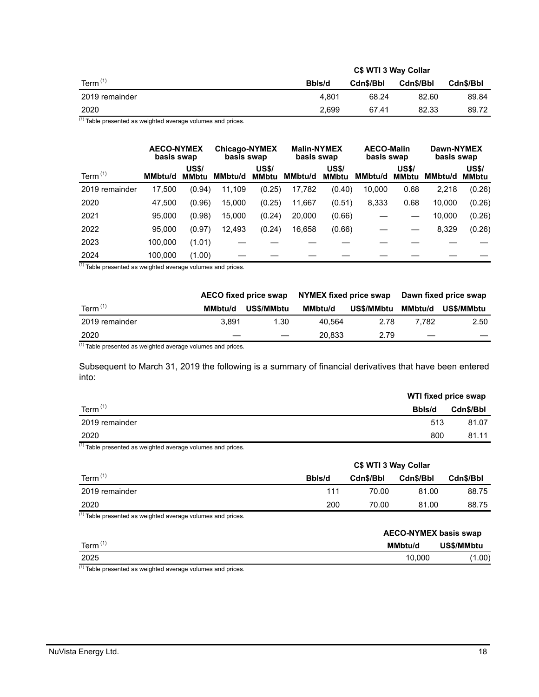|                | C\$ WTI 3 Way Collar |           |           |           |  |  |  |
|----------------|----------------------|-----------|-----------|-----------|--|--|--|
| Term $(1)$     | Bbls/d               | Cdn\$/Bbl | Cdn\$/Bbl | Cdn\$/Bbl |  |  |  |
| 2019 remainder | 4.801                | 68.24     | 82.60     | 89.84     |  |  |  |
| 2020           | 2.699                | 67.41     | 82.33     | 89.72     |  |  |  |

 $(1)$  Table presented as weighted average volumes and prices.

|                |         | <b>AECO-NYMEX</b><br>basis swap |         | <b>Chicago-NYMEX</b><br>basis swap |         | <b>Malin-NYMEX</b><br>basis swap | <b>AECO-Malin</b><br>basis swap |                              | Dawn-NYMEX<br>basis swap |                              |  |
|----------------|---------|---------------------------------|---------|------------------------------------|---------|----------------------------------|---------------------------------|------------------------------|--------------------------|------------------------------|--|
| Term $(1)$     | MMbtu/d | <b>US\$/</b><br><b>MMbtu</b>    | MMbtu/d | <b>US\$/</b><br><b>MMbtu</b>       | MMbtu/d | <b>US\$/</b><br><b>MMbtu</b>     | <b>MMbtu/d</b>                  | <b>US\$/</b><br><b>MMbtu</b> | <b>MMbtu/d</b>           | <b>US\$/</b><br><b>MMbtu</b> |  |
| 2019 remainder | 17.500  | (0.94)                          | 11,109  | (0.25)                             | 17,782  | (0.40)                           | 10,000                          | 0.68                         | 2,218                    | (0.26)                       |  |
| 2020           | 47.500  | (0.96)                          | 15,000  | (0.25)                             | 11,667  | (0.51)                           | 8,333                           | 0.68                         | 10,000                   | (0.26)                       |  |
| 2021           | 95.000  | (0.98)                          | 15,000  | (0.24)                             | 20,000  | (0.66)                           |                                 |                              | 10,000                   | (0.26)                       |  |
| 2022           | 95,000  | (0.97)                          | 12,493  | (0.24)                             | 16,658  | (0.66)                           |                                 |                              | 8,329                    | (0.26)                       |  |
| 2023           | 100,000 | (1.01)                          |         |                                    |         |                                  |                                 |                              |                          |                              |  |
| 2024           | 100,000 | (1.00)                          |         |                                    |         |                                  |                                 |                              |                          |                              |  |

 $(1)$  Table presented as weighted average volumes and prices.

|         |            |                       |                   | Dawn fixed price swap  |            |  |
|---------|------------|-----------------------|-------------------|------------------------|------------|--|
| MMbtu/d | US\$/MMbtu | MMbtu/d               | <b>US\$/MMbtu</b> | MMbtu/d                | US\$/MMbtu |  |
| 3.891   | 1.30       | 40.564                | 2.78              | 7.782                  | 2.50       |  |
|         |            | 20.833                | 2.79              |                        |            |  |
|         |            | AECO fixed price swap |                   | NYMEX fixed price swap |            |  |

 $(1)$  Table presented as weighted average volumes and prices.

Subsequent to March 31, 2019 the following is a summary of financial derivatives that have been entered into:

|                | WTI fixed price swap |           |
|----------------|----------------------|-----------|
| Term $(1)$     | Bbls/d               | Cdn\$/Bbl |
| 2019 remainder | 513                  | 81.07     |
| 2020           | 800                  | 81.11     |

 $<sup>(1)</sup>$  Table presented as weighted average volumes and prices.</sup>

|                | C\$ WTI 3 Way Collar |           |           |           |  |  |  |
|----------------|----------------------|-----------|-----------|-----------|--|--|--|
| Term $(1)$     | Bbls/d               | Cdn\$/Bbl | Cdn\$/Bbl | Cdn\$/Bbl |  |  |  |
| 2019 remainder | 111                  | 70.00     | 81.00     | 88.75     |  |  |  |
| 2020           | 200                  | 70.00     | 81.00     | 88.75     |  |  |  |

 $<sup>(1)</sup>$  Table presented as weighted average volumes and prices.</sup>

|                     | <b>AECO-NYMEX basis swap</b> |            |  |  |  |
|---------------------|------------------------------|------------|--|--|--|
| Term <sup>(1)</sup> | <b>MMbtu/d</b>               | US\$/MMbtu |  |  |  |
| 2025                | 10.000                       | (1.00)     |  |  |  |

(1) Table presented as weighted average volumes and prices.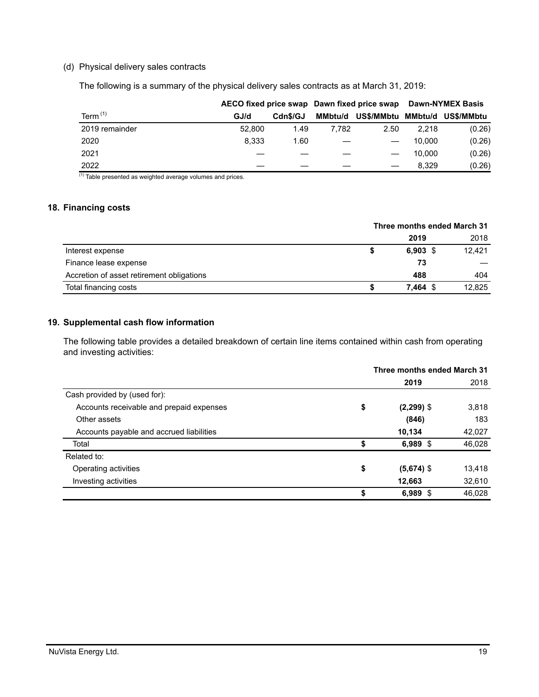#### (d) Physical delivery sales contracts

The following is a summary of the physical delivery sales contracts as at March 31, 2019:

|                |        |          |         | AECO fixed price swap Dawn fixed price swap | <b>Dawn-NYMEX Basis</b> |            |  |
|----------------|--------|----------|---------|---------------------------------------------|-------------------------|------------|--|
| Term $(1)$     | GJ/d   | Cdn\$/GJ | MMbtu/d | US\$/MMbtu                                  | MMbtu/d                 | US\$/MMbtu |  |
| 2019 remainder | 52,800 | 1.49     | 7.782   | 2.50                                        | 2.218                   | (0.26)     |  |
| 2020           | 8.333  | 1.60     |         |                                             | 10.000                  | (0.26)     |  |
| 2021           |        |          |         |                                             | 10.000                  | (0.26)     |  |
| 2022           |        |          |         |                                             | 8.329                   | (0.26)     |  |

 $(1)$  Table presented as weighted average volumes and prices.

#### **18. Financing costs**

|                                           | Three months ended March 31 |            |  |        |
|-------------------------------------------|-----------------------------|------------|--|--------|
|                                           |                             | 2019       |  | 2018   |
| Interest expense                          | S                           | $6.903$ \$ |  | 12.421 |
| Finance lease expense                     |                             | 73         |  |        |
| Accretion of asset retirement obligations |                             | 488        |  | 404    |
| Total financing costs                     |                             | $7.464$ \$ |  | 12.825 |

## **19. Supplemental cash flow information**

The following table provides a detailed breakdown of certain line items contained within cash from operating and investing activities:

|                                          | Three months ended March 31 |                       |        |  |
|------------------------------------------|-----------------------------|-----------------------|--------|--|
|                                          |                             | 2019                  | 2018   |  |
| Cash provided by (used for):             |                             |                       |        |  |
| Accounts receivable and prepaid expenses | \$                          | 3,818<br>$(2,299)$ \$ |        |  |
| Other assets                             |                             | (846)                 | 183    |  |
| Accounts payable and accrued liabilities |                             | 10,134                | 42,027 |  |
| Total                                    | \$                          | $6,989$ \$            | 46,028 |  |
| Related to:                              |                             |                       |        |  |
| Operating activities                     | \$                          | $(5,674)$ \$          | 13,418 |  |
| Investing activities                     |                             | 12,663                | 32,610 |  |
|                                          | \$                          | 6,989 $$$             | 46,028 |  |